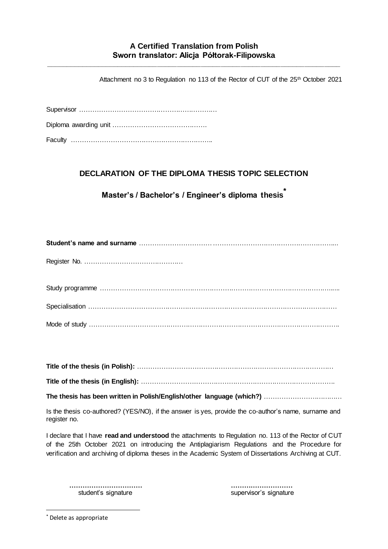## **A Certified Translation from Polish Sworn translator: Alicja Półtorak-Filipowska**

**\_\_\_\_\_\_\_\_\_\_\_\_\_\_\_\_\_\_\_\_\_\_\_\_\_\_\_\_\_\_\_\_\_\_\_\_\_\_\_\_\_\_\_\_\_\_\_\_\_\_\_\_\_\_\_\_\_\_\_\_\_\_\_\_\_\_\_\_\_\_\_\_\_\_**

Attachment no 3 to Regulation no 113 of the Rector of CUT of the 25<sup>th</sup> October 2021

Supervisor ……………………………………………………… Diploma awarding unit ……………………………………. Faculty ………………………………………………………..

## **DECLARATION OF THE DIPLOMA THESIS TOPIC SELECTION**

**Master's / Bachelor's / Engineer's diploma thesis\***

Register No. ………………………………………

Study programme ……………………………………………………………………………………………...... Specialisation …………………………………………………………………………………………………… Mode of study …………………………………………………………………………………………………….

**Title of the thesis (in Polish):** ………………………………………………………………………………

**Title of the thesis (in English):** …………………….……………………………………………………….

**The thesis has been written in Polish/English/other language (which?)** ………………………………

Is the thesis co-authored? (YES/NO), if the answer is yes, provide the co-author's name, surname and register no.

I declare that I have **read and understood** the attachments to Regulation no. 113 of the Rector of CUT of the 25th October 2021 on introducing the Antiplagiarism Regulations and the Procedure for verification and archiving of diploma theses in the Academic System of Dissertations Archiving at CUT.

**…………………………… ……….………………** student's signature student's signature supervisor's signature

\* Delete as appropriate

-